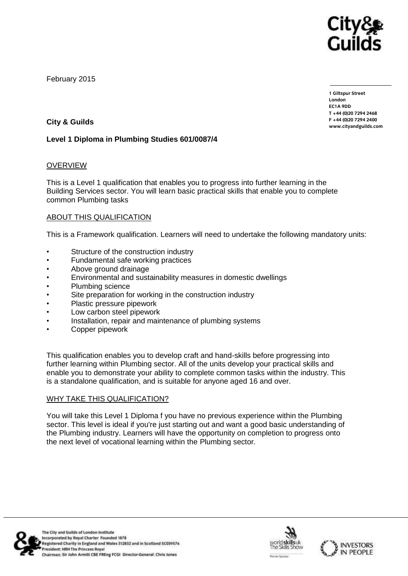

February 2015

**1 Giltspur Street EC1A 9DD**  $T + 44 (0)20 7294 2468$ **T +44 (0)20 7294 246[8](http://www.cityandguilds.com/) F +44 (0)20 7294 2400 [www.cityandguilds.com](http://www.cityandguilds.com/)**

# **City & Guilds**

### **Level 1 Diploma in Plumbing Studies 601/0087/4**

### OVERVIEW

This is a Level 1 qualification that enables you to progress into further learning in the Building Services sector. You will learn basic practical skills that enable you to complete common Plumbing tasks

### ABOUT THIS QUALIFICATION

This is a Framework qualification. Learners will need to undertake the following mandatory units:

- Structure of the construction industry
- Fundamental safe working practices
- Above ground drainage
- Environmental and sustainability measures in domestic dwellings
- Plumbing science
- Site preparation for working in the construction industry
- Plastic pressure pipework
- Low carbon steel pipework
- Installation, repair and maintenance of plumbing systems
- Copper pipework

This qualification enables you to develop craft and hand-skills before progressing into further learning within Plumbing sector. All of the units develop your practical skills and enable you to demonstrate your ability to complete common tasks within the industry. This is a standalone qualification, and is suitable for anyone aged 16 and over.

### WHY TAKE THIS QUALIFICATION?

You will take this Level 1 Diploma f you have no previous experience within the Plumbing sector. This level is ideal if you're just starting out and want a good basic understanding of the Plumbing industry. Learners will have the opportunity on completion to progress onto the next level of vocational learning within the Plumbing sector.